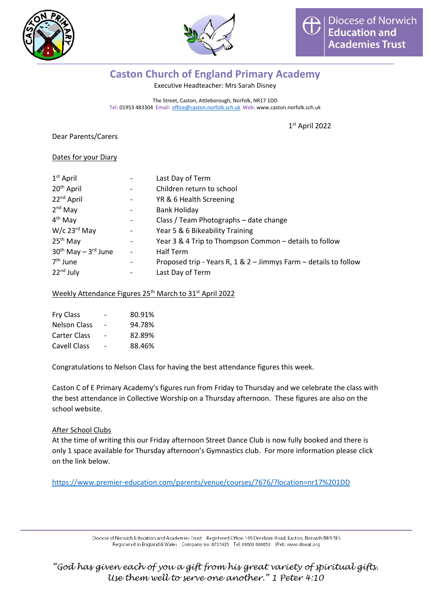



# **Caston Church of England Primary Academy**

Executive Headteacher: Mrs Sarah Disney

The Street, Caston, Attleborough, Norfolk, NR17 1DD Tel: 01953 483304 Email: [office@caston.norfolk.sch.uk](mailto:office@caston.norfolk.sch.uk) Web: www.caston.norfolk.sch.uk

1 st April 2022

Dear Parents/Carers

### Dates for your Diary

| $1st$ April                  |                              | Last Day of Term                                                 |  |
|------------------------------|------------------------------|------------------------------------------------------------------|--|
| 20 <sup>th</sup> April       | $\overline{\phantom{a}}$     | Children return to school                                        |  |
| 22 <sup>nd</sup> April       | $\overline{\phantom{a}}$     | YR & 6 Health Screening                                          |  |
| $2nd$ May                    | $\overline{\phantom{a}}$     | <b>Bank Holiday</b>                                              |  |
| $4th$ May                    | $\overline{\phantom{a}}$     | Class / Team Photographs - date change                           |  |
| $W/c$ 23 <sup>rd</sup> May   | $\overline{\phantom{a}}$     | Year 5 & 6 Bikeability Training                                  |  |
| $25th$ May                   | $\qquad \qquad \blacksquare$ | Year 3 & 4 Trip to Thompson Common - details to follow           |  |
| $30^{th}$ May $-3^{rd}$ June | $\overline{\phantom{a}}$     | Half Term                                                        |  |
| 7 <sup>th</sup> June         | $\overline{\phantom{a}}$     | Proposed trip - Years R, 1 & 2 - Jimmys Farm - details to follow |  |
| $22nd$ July                  |                              | Last Day of Term                                                 |  |

### Weekly Attendance Figures 25<sup>th</sup> March to 31<sup>st</sup> April 2022

| <b>Fry Class</b>    |                          | 80.91% |
|---------------------|--------------------------|--------|
| <b>Nelson Class</b> | $\overline{\phantom{0}}$ | 94.78% |
| <b>Carter Class</b> | $\overline{\phantom{0}}$ | 82.89% |
| Cavell Class        |                          | 88.46% |

Congratulations to Nelson Class for having the best attendance figures this week.

Caston C of E Primary Academy's figures run from Friday to Thursday and we celebrate the class with the best attendance in Collective Worship on a Thursday afternoon. These figures are also on the school website.

# After School Clubs

At the time of writing this our Friday afternoon Street Dance Club is now fully booked and there is only 1 space available for Thursday afternoon's Gymnastics club. For more information please click on the link below.

<https://www.premier-education.com/parents/venue/courses/7676/?location=nr17%201DD>

Diocese of Norwich Education and Academies Trust Registered Office: 109 Dereham Road, Easton, Norwich NR9 5ES Registered in England & Wales Company no: 8737435 Tel: 01603 880853 Web: www.dneat.org

*"God has given each of you a gift from his great variety of spiritual gifts. Use them well to serve one another." 1 Peter 4:10*